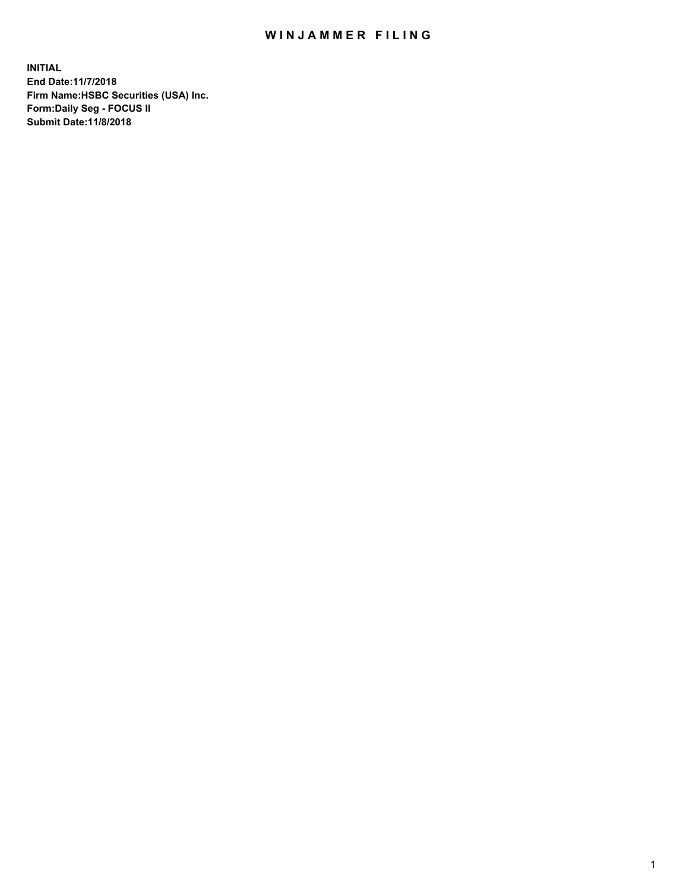## WIN JAMMER FILING

**INITIAL End Date:11/7/2018 Firm Name:HSBC Securities (USA) Inc. Form:Daily Seg - FOCUS II Submit Date:11/8/2018**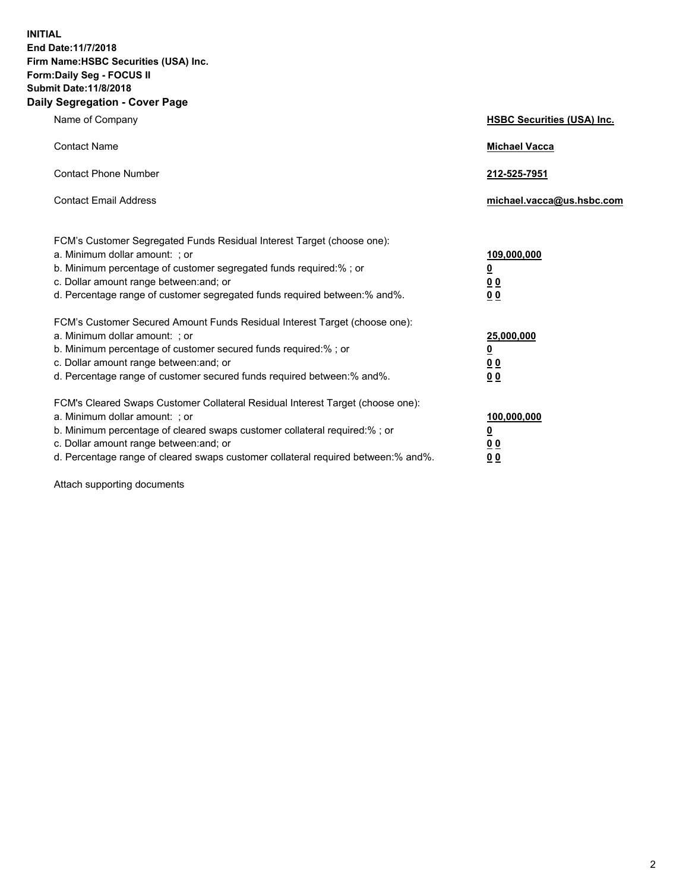**INITIAL End Date:11/7/2018 Firm Name:HSBC Securities (USA) Inc. Form:Daily Seg - FOCUS II Submit Date:11/8/2018 Daily Segregation - Cover Page**

| Name of Company                                                                                                                                                                                                                                                                                                               | <b>HSBC Securities (USA) Inc.</b>                                          |
|-------------------------------------------------------------------------------------------------------------------------------------------------------------------------------------------------------------------------------------------------------------------------------------------------------------------------------|----------------------------------------------------------------------------|
| <b>Contact Name</b>                                                                                                                                                                                                                                                                                                           | <b>Michael Vacca</b>                                                       |
| <b>Contact Phone Number</b>                                                                                                                                                                                                                                                                                                   | 212-525-7951                                                               |
| <b>Contact Email Address</b>                                                                                                                                                                                                                                                                                                  | michael.vacca@us.hsbc.com                                                  |
| FCM's Customer Segregated Funds Residual Interest Target (choose one):<br>a. Minimum dollar amount: ; or<br>b. Minimum percentage of customer segregated funds required:%; or<br>c. Dollar amount range between: and; or<br>d. Percentage range of customer segregated funds required between:% and%.                         | 109,000,000<br>$\overline{\mathbf{0}}$<br>0 <sub>0</sub><br>0 <sub>0</sub> |
| FCM's Customer Secured Amount Funds Residual Interest Target (choose one):<br>a. Minimum dollar amount: ; or<br>b. Minimum percentage of customer secured funds required:%; or<br>c. Dollar amount range between: and; or<br>d. Percentage range of customer secured funds required between:% and%.                           | 25,000,000<br><u>0</u><br>0 <sub>0</sub><br>0 <sub>0</sub>                 |
| FCM's Cleared Swaps Customer Collateral Residual Interest Target (choose one):<br>a. Minimum dollar amount: ; or<br>b. Minimum percentage of cleared swaps customer collateral required:%; or<br>c. Dollar amount range between: and; or<br>d. Percentage range of cleared swaps customer collateral required between:% and%. | 100,000,000<br><u>0</u><br><u>00</u><br>00                                 |

Attach supporting documents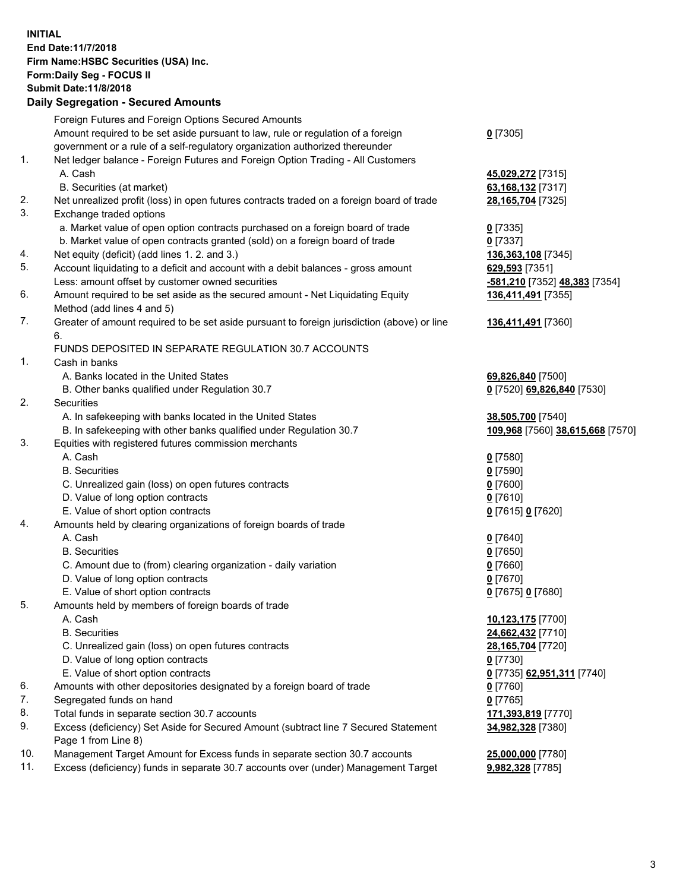**INITIAL End Date:11/7/2018 Firm Name:HSBC Securities (USA) Inc. Form:Daily Seg - FOCUS II Submit Date:11/8/2018 Daily Segregation - Secured Amounts** Foreign Futures and Foreign Options Secured Amounts Amount required to be set aside pursuant to law, rule or regulation of a foreign government or a rule of a self-regulatory organization authorized thereunder **0** [7305] 1. Net ledger balance - Foreign Futures and Foreign Option Trading - All Customers A. Cash **45,029,272** [7315] B. Securities (at market) **63,168,132** [7317] 2. Net unrealized profit (loss) in open futures contracts traded on a foreign board of trade **28,165,704** [7325] 3. Exchange traded options a. Market value of open option contracts purchased on a foreign board of trade **0** [7335] b. Market value of open contracts granted (sold) on a foreign board of trade **0** [7337] 4. Net equity (deficit) (add lines 1. 2. and 3.) **136,363,108** [7345] 5. Account liquidating to a deficit and account with a debit balances - gross amount **629,593** [7351] Less: amount offset by customer owned securities **-581,210** [7352] **48,383** [7354] 6. Amount required to be set aside as the secured amount - Net Liquidating Equity Method (add lines 4 and 5) **136,411,491** [7355] 7. Greater of amount required to be set aside pursuant to foreign jurisdiction (above) or line 6. **136,411,491** [7360] FUNDS DEPOSITED IN SEPARATE REGULATION 30.7 ACCOUNTS 1. Cash in banks A. Banks located in the United States **69,826,840** [7500] B. Other banks qualified under Regulation 30.7 **0** [7520] **69,826,840** [7530] 2. Securities A. In safekeeping with banks located in the United States **38,505,700** [7540] B. In safekeeping with other banks qualified under Regulation 30.7 **109,968** [7560] **38,615,668** [7570] 3. Equities with registered futures commission merchants A. Cash **0** [7580] B. Securities **0** [7590] C. Unrealized gain (loss) on open futures contracts **0** [7600] D. Value of long option contracts **0** [7610] E. Value of short option contracts **0** [7615] **0** [7620] 4. Amounts held by clearing organizations of foreign boards of trade A. Cash **0** [7640] B. Securities **0** [7650] C. Amount due to (from) clearing organization - daily variation **0** [7660] D. Value of long option contracts **0** [7670] E. Value of short option contracts **0** [7675] **0** [7680] 5. Amounts held by members of foreign boards of trade A. Cash **10,123,175** [7700] B. Securities **24,662,432** [7710] C. Unrealized gain (loss) on open futures contracts **28,165,704** [7720] D. Value of long option contracts **0** [7730] E. Value of short option contracts **0** [7735] **62,951,311** [7740] 6. Amounts with other depositories designated by a foreign board of trade **0** [7760] 7. Segregated funds on hand **0** [7765] 8. Total funds in separate section 30.7 accounts **171,393,819** [7770] 9. Excess (deficiency) Set Aside for Secured Amount (subtract line 7 Secured Statement Page 1 from Line 8) **34,982,328** [7380]

10. Management Target Amount for Excess funds in separate section 30.7 accounts **25,000,000** [7780]

11. Excess (deficiency) funds in separate 30.7 accounts over (under) Management Target **9,982,328** [7785]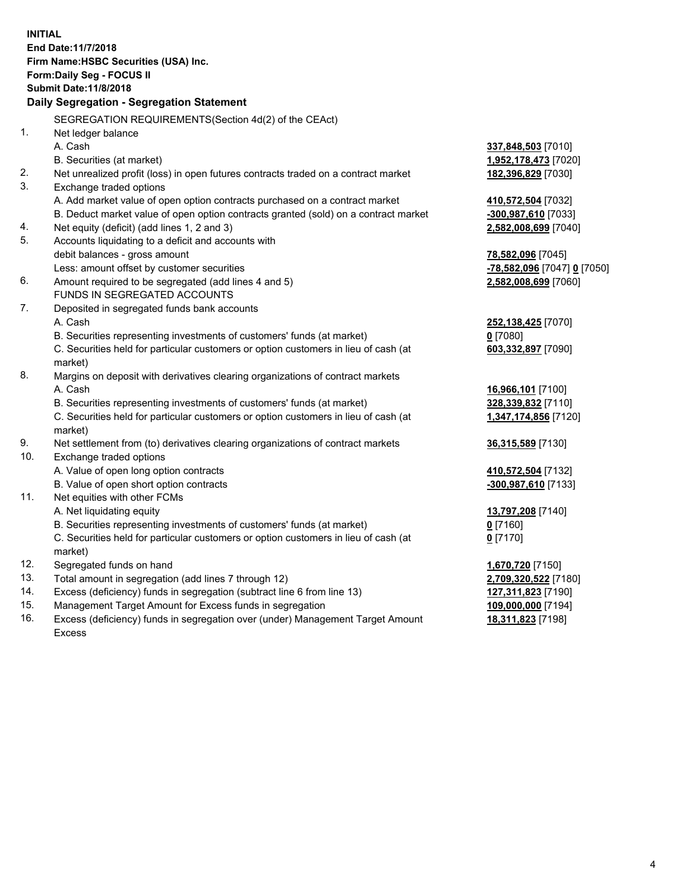| <b>INITIAL</b> |                                                                                     |                             |
|----------------|-------------------------------------------------------------------------------------|-----------------------------|
|                | End Date: 11/7/2018                                                                 |                             |
|                | Firm Name: HSBC Securities (USA) Inc.                                               |                             |
|                | <b>Form:Daily Seg - FOCUS II</b>                                                    |                             |
|                | <b>Submit Date:11/8/2018</b>                                                        |                             |
|                | Daily Segregation - Segregation Statement                                           |                             |
|                |                                                                                     |                             |
|                | SEGREGATION REQUIREMENTS(Section 4d(2) of the CEAct)                                |                             |
| 1.             | Net ledger balance                                                                  |                             |
|                | A. Cash                                                                             | 337,848,503 [7010]          |
|                | B. Securities (at market)                                                           | 1,952,178,473 [7020]        |
| 2.             | Net unrealized profit (loss) in open futures contracts traded on a contract market  | 182,396,829 [7030]          |
| 3.             | Exchange traded options                                                             |                             |
|                | A. Add market value of open option contracts purchased on a contract market         | 410,572,504 [7032]          |
|                | B. Deduct market value of open option contracts granted (sold) on a contract market | -300,987,610 [7033]         |
| 4.             | Net equity (deficit) (add lines 1, 2 and 3)                                         | 2,582,008,699 [7040]        |
| 5.             | Accounts liquidating to a deficit and accounts with                                 |                             |
|                | debit balances - gross amount                                                       | 78,582,096 [7045]           |
|                | Less: amount offset by customer securities                                          | -78,582,096 [7047] 0 [7050] |
| 6.             | Amount required to be segregated (add lines 4 and 5)                                | 2,582,008,699 [7060]        |
|                | <b>FUNDS IN SEGREGATED ACCOUNTS</b>                                                 |                             |
| 7.             | Deposited in segregated funds bank accounts                                         |                             |
|                | A. Cash                                                                             | 252,138,425 [7070]          |
|                | B. Securities representing investments of customers' funds (at market)              | $0$ [7080]                  |
|                | C. Securities held for particular customers or option customers in lieu of cash (at | 603,332,897 [7090]          |
|                | market)                                                                             |                             |
| 8.             | Margins on deposit with derivatives clearing organizations of contract markets      |                             |
|                | A. Cash                                                                             | 16,966,101 [7100]           |
|                | B. Securities representing investments of customers' funds (at market)              | 328,339,832 [7110]          |
|                | C. Securities held for particular customers or option customers in lieu of cash (at | 1,347,174,856 [7120]        |
|                | market)                                                                             |                             |
| 9.             | Net settlement from (to) derivatives clearing organizations of contract markets     | <b>36,315,589</b> [7130]    |
| 10.            | Exchange traded options                                                             |                             |
|                | A. Value of open long option contracts                                              | 410,572,504 [7132]          |
|                | B. Value of open short option contracts                                             | -300,987,610 [7133]         |
| 11.            | Net equities with other FCMs                                                        |                             |
|                | A. Net liquidating equity                                                           | 13,797,208 [7140]           |
|                | B. Securities representing investments of customers' funds (at market)              | $0$ [7160]                  |
|                | C. Securities held for particular customers or option customers in lieu of cash (at | $0$ [7170]                  |
|                | market)                                                                             |                             |
| 12.            | Segregated funds on hand                                                            | 1,670,720 [7150]            |
| 13.            | Total amount in segregation (add lines 7 through 12)                                | 2,709,320,522 [7180]        |
| 14.            | Excess (deficiency) funds in segregation (subtract line 6 from line 13)             | 127,311,823 [7190]          |
| 15.            | Management Target Amount for Excess funds in segregation                            | 109,000,000 [7194]          |
|                |                                                                                     |                             |

16. Excess (deficiency) funds in segregation over (under) Management Target Amount Excess

**18,311,823** [7198]